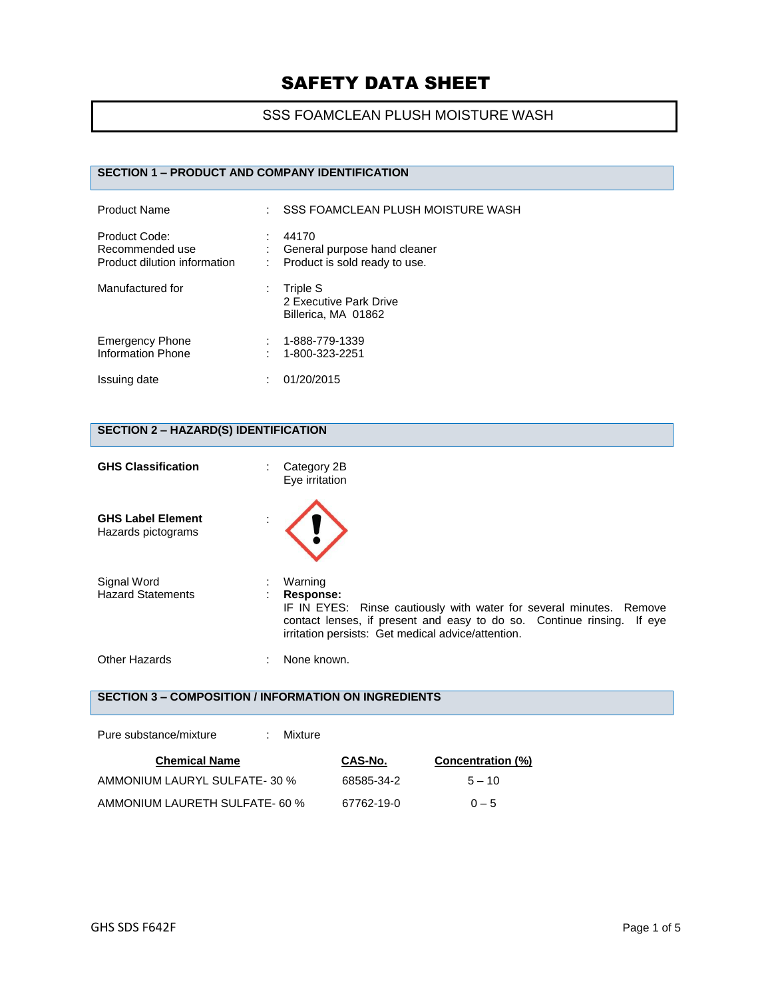## SSS FOAMCLEAN PLUSH MOISTURE WASH

# **SECTION 1 – PRODUCT AND COMPANY IDENTIFICATION**

| <b>Product Name</b>                                              |   | SSS FOAMCLEAN PLUSH MOISTURE WASH                                      |
|------------------------------------------------------------------|---|------------------------------------------------------------------------|
| Product Code:<br>Recommended use<br>Product dilution information |   | 44170<br>General purpose hand cleaner<br>Product is sold ready to use. |
| Manufactured for                                                 | ÷ | Triple S<br>2 Executive Park Drive<br>Billerica, MA 01862              |
| <b>Emergency Phone</b><br>Information Phone                      |   | 1-888-779-1339<br>1-800-323-2251                                       |
| Issuing date                                                     |   | 01/20/2015                                                             |

### **SECTION 2 – HAZARD(S) IDENTIFICATION**

| <b>GHS Classification</b>                      | Category 2B<br>Eye irritation                                                                                                                                                                                               |
|------------------------------------------------|-----------------------------------------------------------------------------------------------------------------------------------------------------------------------------------------------------------------------------|
| <b>GHS Label Element</b><br>Hazards pictograms |                                                                                                                                                                                                                             |
| Signal Word<br><b>Hazard Statements</b>        | Warning<br>Response:<br>IF IN EYES: Rinse cautiously with water for several minutes. Remove<br>contact lenses, if present and easy to do so. Continue rinsing. If eye<br>irritation persists: Get medical advice/attention. |
| <b>Other Hazards</b>                           | None known.                                                                                                                                                                                                                 |

# **SECTION 3 – COMPOSITION / INFORMATION ON INGREDIENTS**

| Pure substance/mixture         | Mixture |            |                   |  |
|--------------------------------|---------|------------|-------------------|--|
| <b>Chemical Name</b>           |         | CAS-No.    | Concentration (%) |  |
| AMMONIUM LAURYL SULFATE-30 %   |         | 68585-34-2 | $5 - 10$          |  |
| AMMONIUM LAURETH SULFATE- 60 % |         | 67762-19-0 | $0 - 5$           |  |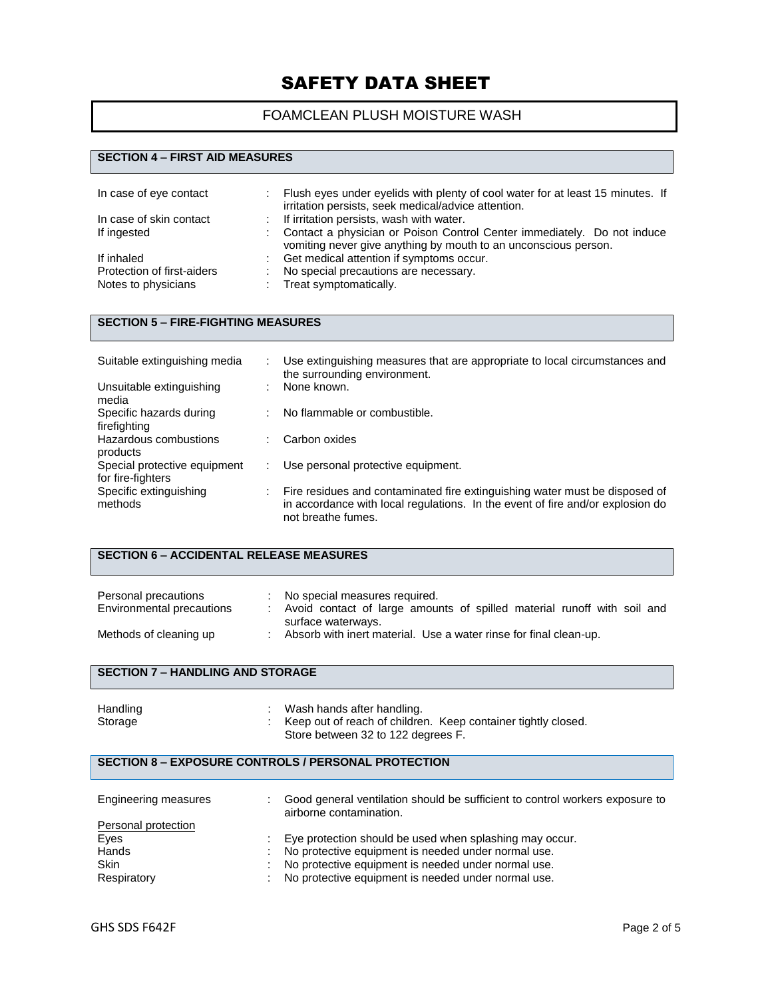# FOAMCLEAN PLUSH MOISTURE WASH

#### **SECTION 4 – FIRST AID MEASURES**

| In case of eye contact     |    | Flush eyes under eyelids with plenty of cool water for at least 15 minutes. If<br>irritation persists, seek medical/advice attention.      |
|----------------------------|----|--------------------------------------------------------------------------------------------------------------------------------------------|
| In case of skin contact    |    | : If irritation persists, wash with water.                                                                                                 |
| If ingested                |    | Contact a physician or Poison Control Center immediately. Do not induce<br>vomiting never give anything by mouth to an unconscious person. |
| If inhaled                 |    | Get medical attention if symptoms occur.                                                                                                   |
| Protection of first-aiders | ÷. | No special precautions are necessary.                                                                                                      |
| Notes to physicians        |    | Treat symptomatically.                                                                                                                     |

### **SECTION 5 – FIRE-FIGHTING MEASURES**

| Suitable extinguishing media                      |   | Use extinguishing measures that are appropriate to local circumstances and<br>the surrounding environment.                                                                          |
|---------------------------------------------------|---|-------------------------------------------------------------------------------------------------------------------------------------------------------------------------------------|
| Unsuitable extinguishing<br>media                 | ٠ | None known.                                                                                                                                                                         |
| Specific hazards during<br>firefighting           | ÷ | No flammable or combustible.                                                                                                                                                        |
| Hazardous combustions<br>products                 | ÷ | Carbon oxides                                                                                                                                                                       |
| Special protective equipment<br>for fire-fighters |   | Use personal protective equipment.                                                                                                                                                  |
| Specific extinguishing<br>methods                 |   | Fire residues and contaminated fire extinguishing water must be disposed of<br>in accordance with local regulations. In the event of fire and/or explosion do<br>not breathe fumes. |

| <b>SECTION 6 - ACCIDENTAL RELEASE MEASURES</b>    |  |                                                                                                                                  |  |  |
|---------------------------------------------------|--|----------------------------------------------------------------------------------------------------------------------------------|--|--|
| Personal precautions<br>Environmental precautions |  | : No special measures required.<br>Avoid contact of large amounts of spilled material runoff with soil and<br>surface waterways. |  |  |

# Methods of cleaning up : Absorb with inert material. Use a water rinse for final clean-up.

#### **SECTION 7 – HANDLING AND STORAGE**

| Handling | Wash hands after handling.                                    |  |
|----------|---------------------------------------------------------------|--|
| Storage  | Keep out of reach of children. Keep container tightly closed. |  |
|          | Store between 32 to 122 degrees F.                            |  |

#### **SECTION 8 – EXPOSURE CONTROLS / PERSONAL PROTECTION**

| Engineering measures | Good general ventilation should be sufficient to control workers exposure to<br>airborne contamination. |
|----------------------|---------------------------------------------------------------------------------------------------------|
| Personal protection  |                                                                                                         |
| Eyes                 | Eye protection should be used when splashing may occur.                                                 |
| Hands                | No protective equipment is needed under normal use.                                                     |
| <b>Skin</b>          | No protective equipment is needed under normal use.                                                     |
| Respiratory          | No protective equipment is needed under normal use.                                                     |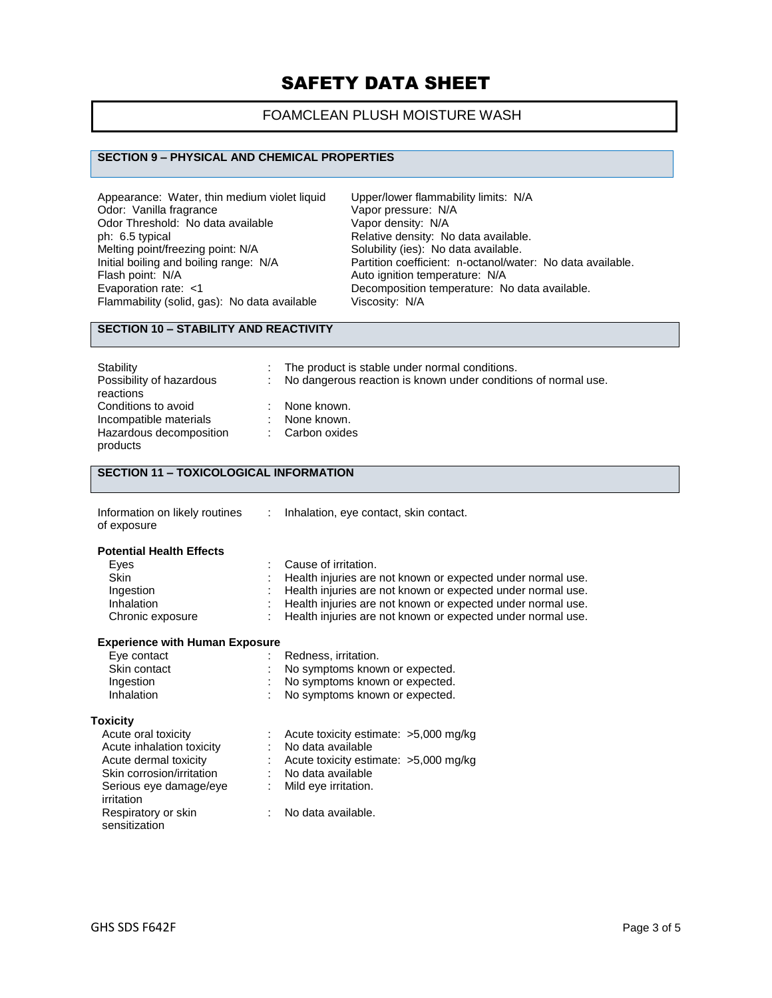# FOAMCLEAN PLUSH MOISTURE WASH

#### **SECTION 9 – PHYSICAL AND CHEMICAL PROPERTIES**

| Appearance: Water, thin medium violet liquid | Upper/lower fla          |
|----------------------------------------------|--------------------------|
| Odor: Vanilla fragrance                      | Vapor pressure           |
| Odor Threshold: No data available            | Vapor density:           |
| ph: 6.5 typical                              | Relative densit          |
| Melting point/freezing point: N/A            | Solubility (ies):        |
| Initial boiling and boiling range: N/A       | <b>Partition coeffic</b> |
| Flash point: N/A                             | Auto ignition te         |
| Evaporation rate: <1                         | Decomposition            |
| Flammability (solid, gas): No data available | Viscosity: N/A           |
|                                              |                          |

Upper/lower flammability limits: N/A Vapor pressure: N/A Vapor density: N/A Relative density: No data available. Solubility (ies): No data available. Partition coefficient: n-octanol/water: No data available. Auto ignition temperature: N/A Decomposition temperature: No data available.

# **SECTION 10 – STABILITY AND REACTIVITY**

| Stability<br>Possibility of hazardous<br>reactions                                   | ÷.<br>÷. | The product is stable under normal conditions.<br>No dangerous reaction is known under conditions of normal use. |
|--------------------------------------------------------------------------------------|----------|------------------------------------------------------------------------------------------------------------------|
| Conditions to avoid<br>Incompatible materials<br>Hazardous decomposition<br>products |          | None known.<br>None known.<br>: Carbon oxides                                                                    |

### **SECTION 11 – TOXICOLOGICAL INFORMATION**

| Information on likely routines<br>of exposure | Inhalation, eye contact, skin contact.                      |
|-----------------------------------------------|-------------------------------------------------------------|
| <b>Potential Health Effects</b>               |                                                             |
| Eyes                                          | Cause of irritation.                                        |
| <b>Skin</b>                                   | Health injuries are not known or expected under normal use. |
| Ingestion                                     | Health injuries are not known or expected under normal use. |
| Inhalation                                    | Health injuries are not known or expected under normal use. |
| Chronic exposure                              | Health injuries are not known or expected under normal use. |

#### **Experience with Human Exposure**

| Eye contact<br>Skin contact<br>Ingestion<br>Inhalation | Redness, irritation.<br>No symptoms known or expected.<br>No symptoms known or expected.<br>No symptoms known or expected. |
|--------------------------------------------------------|----------------------------------------------------------------------------------------------------------------------------|
| <b>Toxicity</b>                                        |                                                                                                                            |
| Acute oral toxicity                                    | Acute toxicity estimate: >5,000 mg/kg                                                                                      |
| Acute inhalation toxicity                              | No data available                                                                                                          |
| Acute dermal toxicity                                  | Acute toxicity estimate: >5,000 mg/kg                                                                                      |
| Skin corrosion/irritation                              | No data available                                                                                                          |
| Serious eye damage/eye<br>irritation                   | Mild eye irritation.                                                                                                       |
| Respiratory or skin<br>sensitization                   | No data available.                                                                                                         |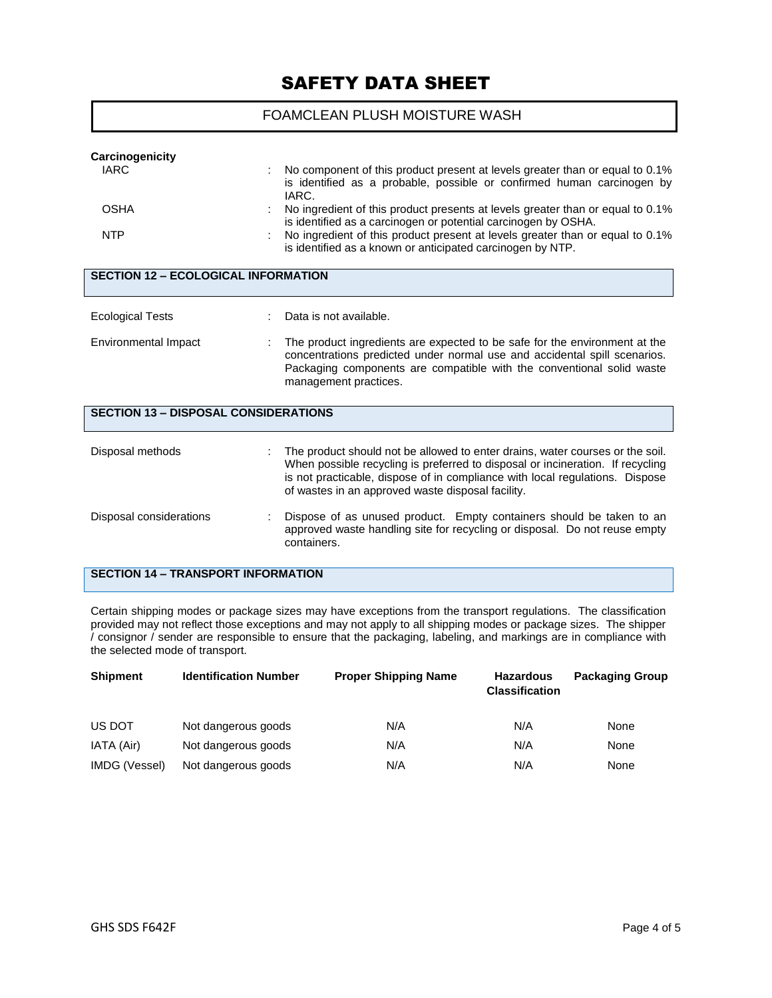#### FOAMCLEAN PLUSH MOISTURE WASH

| Carcinogenicity                             |                                                                                |  |  |  |
|---------------------------------------------|--------------------------------------------------------------------------------|--|--|--|
| <b>IARC</b>                                 | No component of this product present at levels greater than or equal to 0.1%   |  |  |  |
|                                             | is identified as a probable, possible or confirmed human carcinogen by         |  |  |  |
|                                             | IARC.                                                                          |  |  |  |
| <b>OSHA</b>                                 | No ingredient of this product presents at levels greater than or equal to 0.1% |  |  |  |
|                                             | is identified as a carcinogen or potential carcinogen by OSHA.                 |  |  |  |
| <b>NTP</b>                                  | No ingredient of this product present at levels greater than or equal to 0.1%  |  |  |  |
|                                             | is identified as a known or anticipated carcinogen by NTP.                     |  |  |  |
|                                             |                                                                                |  |  |  |
| <b>SECTION 12 - ECOLOGICAL INFORMATION</b>  |                                                                                |  |  |  |
|                                             |                                                                                |  |  |  |
|                                             |                                                                                |  |  |  |
| <b>Ecological Tests</b>                     | Data is not available.                                                         |  |  |  |
|                                             |                                                                                |  |  |  |
| <b>Environmental Impact</b>                 | The product ingredients are expected to be safe for the environment at the     |  |  |  |
|                                             | concentrations predicted under normal use and accidental spill scenarios.      |  |  |  |
|                                             | Packaging components are compatible with the conventional solid waste          |  |  |  |
|                                             | management practices.                                                          |  |  |  |
|                                             |                                                                                |  |  |  |
| <b>SECTION 13 - DISPOSAL CONSIDERATIONS</b> |                                                                                |  |  |  |
|                                             |                                                                                |  |  |  |
|                                             |                                                                                |  |  |  |
| Disposal methods                            | The product should not be allowed to enter drains, water courses or the soil.  |  |  |  |
|                                             | When possible recycling is preferred to disposal or incineration. If recycling |  |  |  |
|                                             | is not practicable, dispose of in compliance with local regulations. Dispose   |  |  |  |
|                                             | of wastes in an approved waste disposal facility.                              |  |  |  |
|                                             |                                                                                |  |  |  |
| Disposal considerations                     | Dispose of as unused product. Empty containers should be taken to an           |  |  |  |
|                                             | approved waste handling site for recycling or disposal. Do not reuse empty     |  |  |  |
|                                             | containers.                                                                    |  |  |  |
|                                             |                                                                                |  |  |  |
| <b>SECTION 14 - TRANSPORT INFORMATION</b>   |                                                                                |  |  |  |

Certain shipping modes or package sizes may have exceptions from the transport regulations. The classification provided may not reflect those exceptions and may not apply to all shipping modes or package sizes. The shipper / consignor / sender are responsible to ensure that the packaging, labeling, and markings are in compliance with the selected mode of transport.

| <b>Shipment</b> | <b>Identification Number</b> | <b>Proper Shipping Name</b> | <b>Hazardous</b><br><b>Classification</b> | <b>Packaging Group</b> |
|-----------------|------------------------------|-----------------------------|-------------------------------------------|------------------------|
| US DOT          | Not dangerous goods          | N/A                         | N/A                                       | None                   |
| IATA (Air)      | Not dangerous goods          | N/A                         | N/A                                       | None                   |
| IMDG (Vessel)   | Not dangerous goods          | N/A                         | N/A                                       | None                   |